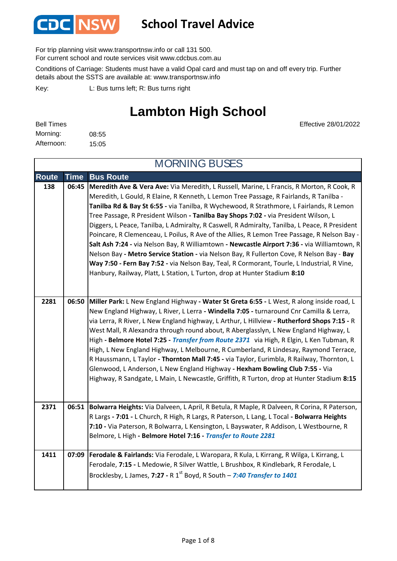

#### **School Travel Advice**

For trip planning visit www.transportnsw.info or call 131 500.

For current school and route services visit www.cdcbus.com.au

Conditions of Carriage: Students must have a valid Opal card and must tap on and off every trip. Further details about the SSTS are available at: www.transportnsw.info

L: Bus turns left; R: Bus turns right Key:

#### **Lambton High School**

| <b>Bell Times</b> |       |
|-------------------|-------|
| Morning:          | 08:55 |
| Afternoon:        | 15:05 |

Effective 28/01/2022

| <b>MORNING BUSES</b> |             |                                                                                                                                                                                                                                                                                                                                                                                                                                                                                                                                                                                                                                                                                                                                                                                                                                                                                                                                              |
|----------------------|-------------|----------------------------------------------------------------------------------------------------------------------------------------------------------------------------------------------------------------------------------------------------------------------------------------------------------------------------------------------------------------------------------------------------------------------------------------------------------------------------------------------------------------------------------------------------------------------------------------------------------------------------------------------------------------------------------------------------------------------------------------------------------------------------------------------------------------------------------------------------------------------------------------------------------------------------------------------|
| <b>Route</b>         | <b>Time</b> | <b>Bus Route</b>                                                                                                                                                                                                                                                                                                                                                                                                                                                                                                                                                                                                                                                                                                                                                                                                                                                                                                                             |
| 138                  | 06:45       | Meredith Ave & Vera Ave: Via Meredith, L Russell, Marine, L Francis, R Morton, R Cook, R<br>Meredith, L Gould, R Elaine, R Kenneth, L Lemon Tree Passage, R Fairlands, R Tanilba -<br>Tanilba Rd & Bay St 6:55 - via Tanilba, R Wychewood, R Strathmore, L Fairlands, R Lemon<br>Tree Passage, R President Wilson - Tanilba Bay Shops 7:02 - via President Wilson, L<br>Diggers, L Peace, Tanilba, L Admiralty, R Caswell, R Admiralty, Tanilba, L Peace, R President<br>Poincare, R Clemenceau, L Poilus, R Ave of the Allies, R Lemon Tree Passage, R Nelson Bay -<br>Salt Ash 7:24 - via Nelson Bay, R Williamtown - Newcastle Airport 7:36 - via Williamtown, R<br>Nelson Bay - Metro Service Station - via Nelson Bay, R Fullerton Cove, R Nelson Bay - Bay<br>Way 7:50 - Fern Bay 7:52 - via Nelson Bay, Teal, R Cormorant, Tourle, L Industrial, R Vine,<br>Hanbury, Railway, Platt, L Station, L Turton, drop at Hunter Stadium 8:10 |
| 2281                 | 06:50       | Miller Park: L New England Highway - Water St Greta 6:55 - L West, R along inside road, L<br>New England Highway, L River, L Lerra - Windella 7:05 - turnaround Cnr Camilla & Lerra,<br>via Lerra, R River, L New England highway, L Arthur, L Hillview - Rutherford Shops 7:15 - R<br>West Mall, R Alexandra through round about, R Aberglasslyn, L New England Highway, L<br>High - Belmore Hotel 7:25 - Transfer from Route 2371 via High, R Elgin, L Ken Tubman, R<br>High, L New England Highway, L Melbourne, R Cumberland, R Lindesay, Raymond Terrace,<br>R Haussmann, L Taylor - Thornton Mall 7:45 - via Taylor, Eurimbla, R Railway, Thornton, L<br>Glenwood, L Anderson, L New England Highway - Hexham Bowling Club 7:55 - Via<br>Highway, R Sandgate, L Main, L Newcastle, Griffith, R Turton, drop at Hunter Stadium 8:15                                                                                                     |
| 2371                 | 06:51       | Bolwarra Heights: Via Dalveen, L April, R Betula, R Maple, R Dalveen, R Corina, R Paterson,<br>R Largs - 7:01 - L Church, R High, R Largs, R Paterson, L Lang, L Tocal - Bolwarra Heights<br>7:10 - Via Paterson, R Bolwarra, L Kensington, L Bayswater, R Addison, L Westbourne, R<br>Belmore, L High - Belmore Hotel 7:16 - Transfer to Route 2281                                                                                                                                                                                                                                                                                                                                                                                                                                                                                                                                                                                         |
| 1411                 | 07:09       | Ferodale & Fairlands: Via Ferodale, L Waropara, R Kula, L Kirrang, R Wilga, L Kirrang, L<br>Ferodale, 7:15 - L Medowie, R Silver Wattle, L Brushbox, R Kindlebark, R Ferodale, L<br>Brocklesby, L James, 7:27 - R $1^{st}$ Boyd, R South - 7:40 Transfer to 1401                                                                                                                                                                                                                                                                                                                                                                                                                                                                                                                                                                                                                                                                             |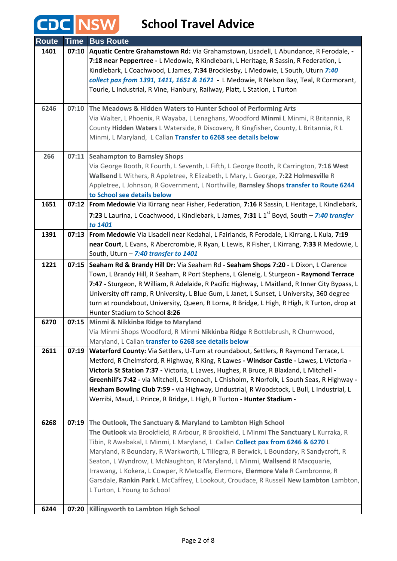| <b>Route</b> | <b>Time</b> | <b>Bus Route</b>                                                                                       |
|--------------|-------------|--------------------------------------------------------------------------------------------------------|
| 1401         | 07:10       | Aquatic Centre Grahamstown Rd: Via Grahamstown, Lisadell, L Abundance, R Ferodale, -                   |
|              |             | 7:18 near Peppertree - L Medowie, R Kindlebark, L Heritage, R Sassin, R Federation, L                  |
|              |             | Kindlebark, L Coachwood, L James, 7:34 Brocklesby, L Medowie, L South, Uturn 7:40                      |
|              |             | collect pax from 1391, 1411, 1651 & 1671 - L Medowie, R Nelson Bay, Teal, R Cormorant,                 |
|              |             | Tourle, L Industrial, R Vine, Hanbury, Railway, Platt, L Station, L Turton                             |
|              |             |                                                                                                        |
| 6246         | 07:10       | The Meadows & Hidden Waters to Hunter School of Performing Arts                                        |
|              |             | Via Walter, L Phoenix, R Wayaba, L Lenaghans, Woodford Minmi L Minmi, R Britannia, R                   |
|              |             | County Hidden Waters L Waterside, R Discovery, R Kingfisher, County, L Britannia, R L                  |
|              |             | Minmi, L Maryland, L Callan Transfer to 6268 see details below                                         |
|              |             |                                                                                                        |
| 266          |             | 07:11 Seahampton to Barnsley Shops                                                                     |
|              |             | Via George Booth, R Fourth, L Seventh, L Fifth, L George Booth, R Carrington, 7:16 West                |
|              |             | Wallsend L Withers, R Appletree, R Elizabeth, L Mary, L George, 7:22 Holmesville R                     |
|              |             | Appletree, L Johnson, R Government, L Northville, Barnsley Shops transfer to Route 6244                |
|              |             | to School see details below                                                                            |
| 1651         |             | 07:12   From Medowie Via Kirrang near Fisher, Federation, 7:16 R Sassin, L Heritage, L Kindlebark,     |
|              |             | 7:23 L Laurina, L Coachwood, L Kindlebark, L James, 7:31 L 1 <sup>st</sup> Boyd, South - 7:40 transfer |
|              |             | to 1401                                                                                                |
| 1391         | 07:13       | From Medowie Via Lisadell near Kedahal, L Fairlands, R Ferodale, L Kirrang, L Kula, 7:19               |
|              |             | near Court, L Evans, R Abercrombie, R Ryan, L Lewis, R Fisher, L Kirrang, 7:33 R Medowie, L            |
|              |             | South, Uturn - 7:40 transfer to 1401                                                                   |
| 1221         | 07:15       | Seaham Rd & Brandy Hill Dr: Via Seaham Rd - Seaham Shops 7:20 - L Dixon, L Clarence                    |
|              |             | Town, L Brandy Hill, R Seaham, R Port Stephens, L Glenelg, L Sturgeon - Raymond Terrace                |
|              |             | 7:47 - Sturgeon, R William, R Adelaide, R Pacific Highway, L Maitland, R Inner City Bypass, L          |
|              |             | University off ramp, R University, L Blue Gum, L Janet, L Sunset, L University, 360 degree             |
|              |             | turn at roundabout, University, Queen, R Lorna, R Bridge, L High, R High, R Turton, drop at            |
|              |             | Hunter Stadium to School 8:26                                                                          |
| 6270         | 07:15       | Minmi & Nikkinba Ridge to Maryland                                                                     |
|              |             | Via Minmi Shops Woodford, R Minmi Nikkinba Ridge R Bottlebrush, R Churnwood,                           |
|              |             | Maryland, L Callan transfer to 6268 see details below                                                  |
| 2611         | 07:19       | Waterford County: Via Settlers, U-Turn at roundabout, Settlers, R Raymond Terrace, L                   |
|              |             | Metford, R Chelmsford, R Highway, R King, R Lawes - Windsor Castle - Lawes, L Victoria -               |
|              |             | Victoria St Station 7:37 - Victoria, L Lawes, Hughes, R Bruce, R Blaxland, L Mitchell -                |
|              |             | Greenhill's 7:42 - via Mitchell, L Stronach, L Chisholm, R Norfolk, L South Seas, R Highway -          |
|              |             | Hexham Bowling Club 7:59 - via Highway, LIndustrial, R Woodstock, L Bull, L Industrial, L              |
|              |             | Werribi, Maud, L Prince, R Bridge, L High, R Turton - Hunter Stadium -                                 |
|              |             |                                                                                                        |
| 6268         | 07:19       | The Outlook, The Sanctuary & Maryland to Lambton High School                                           |
|              |             | The Outlook via Brookfield, R Arbour, R Brookfield, L Minmi The Sanctuary L Kurraka, R                 |
|              |             | Tibin, R Awabakal, L Minmi, L Maryland, L Callan Collect pax from 6246 & 6270 L                        |
|              |             | Maryland, R Boundary, R Warkworth, L Tillegra, R Berwick, L Boundary, R Sandycroft, R                  |
|              |             | Seaton, L Wyndrow, L McNaughton, R Maryland, L Minmi, Wallsend R Macquarie,                            |
|              |             | Irrawang, L Kokera, L Cowper, R Metcalfe, Elermore, Elermore Vale R Cambronne, R                       |
|              |             | Garsdale, Rankin Park L McCaffrey, L Lookout, Croudace, R Russell New Lambton Lambton,                 |
|              |             | L Turton, L Young to School                                                                            |
|              |             |                                                                                                        |
| 6244         |             | 07:20 Killingworth to Lambton High School                                                              |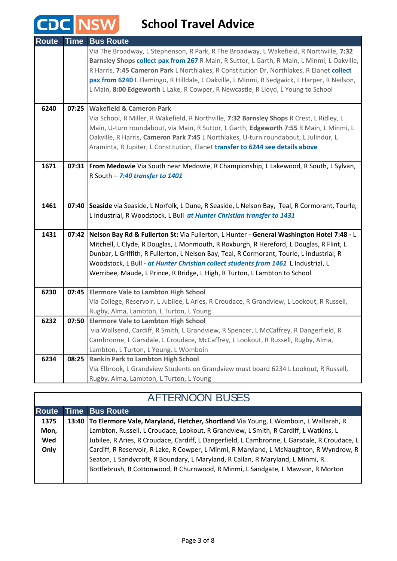#### **School Travel Advice**

CDC NSW

| <b>Route</b> | <b>Time</b> | <b>Bus Route</b>                                                                                  |
|--------------|-------------|---------------------------------------------------------------------------------------------------|
|              |             | Via The Broadway, L Stephenson, R Park, R The Broadway, L Wakefield, R Northville, 7:32           |
|              |             | Barnsley Shops collect pax from 267 R Main, R Suttor, L Garth, R Main, L Minmi, L Oakville,       |
|              |             | R Harris, 7:45 Cameron Park L Northlakes, R Constitution Dr, Northlakes, R Elanet collect         |
|              |             | pax from 6240 L Flamingo, R Hilldale, L Oakville, L Minmi, R Sedgwick, L Harper, R Neilson,       |
|              |             | L Main, 8:00 Edgeworth L Lake, R Cowper, R Newcastle, R Lloyd, L Young to School                  |
| 6240         | 07:25       | <b>Wakefield &amp; Cameron Park</b>                                                               |
|              |             | Via School, R Miller, R Wakefield, R Northville, 7:32 Barnsley Shops R Crest, L Ridley, L         |
|              |             | Main, U-turn roundabout, via Main, R Suttor, L Garth, Edgeworth 7:55 R Main, L Minmi, L           |
|              |             | Oakville, R Harris, Cameron Park 7:45 L Northlakes, U-turn roundabout, L Julindur, L              |
|              |             | Araminta, R Jupiter, L Constitution, Elanet transfer to 6244 see details above                    |
|              |             |                                                                                                   |
| 1671         |             | 07:31 From Medowie Via South near Medowie, R Championship, L Lakewood, R South, L Sylvan,         |
|              |             | R South - 7:40 transfer to 1401                                                                   |
|              |             |                                                                                                   |
|              |             |                                                                                                   |
| 1461         |             | 07:40 Seaside via Seaside, L Norfolk, L Dune, R Seaside, L Nelson Bay, Teal, R Cormorant, Tourle, |
|              |             | L Industrial, R Woodstock, L Bull at Hunter Christian transfer to 1431                            |
|              |             |                                                                                                   |
| 1431         |             | 07:42   Nelson Bay Rd & Fullerton St: Via Fullerton, L Hunter - General Washington Hotel 7:48 - L |
|              |             | Mitchell, L Clyde, R Douglas, L Monmouth, R Roxburgh, R Hereford, L Douglas, R Flint, L           |
|              |             | Dunbar, L Griffith, R Fullerton, L Nelson Bay, Teal, R Cormorant, Tourle, L Industrial, R         |
|              |             | Woodstock, L Bull - at Hunter Christian collect students from 1461 L Industrial, L                |
|              |             | Werribee, Maude, L Prince, R Bridge, L High, R Turton, L Lambton to School                        |
| 6230         | 07:45       | <b>Elermore Vale to Lambton High School</b>                                                       |
|              |             | Via College, Reservoir, L Jubilee, L Aries, R Croudace, R Grandview, L Lookout, R Russell,        |
|              |             | Rugby, Alma, Lambton, L Turton, L Young                                                           |
| 6232         | 07:50       | <b>Elermore Vale to Lambton High School</b>                                                       |
|              |             | via Wallsend, Cardiff, R Smith, L Grandview, R Spencer, L McCaffrey, R Dangerfield, R             |
|              |             | Cambronne, L Garsdale, L Croudace, McCaffrey, L Lookout, R Russell, Rugby, Alma,                  |
|              |             | Lambton, L Turton, L Young, L Womboin                                                             |
| 6234         |             | 08:25 Rankin Park to Lambton High School                                                          |
|              |             | Via Elbrook, L Grandview Students on Grandview must board 6234 L Lookout, R Russell,              |
|              |             | Rugby, Alma, Lambton, L Turton, L Young                                                           |

| <b>AFTERNOON BUSES</b> |  |                                                                                              |
|------------------------|--|----------------------------------------------------------------------------------------------|
| <b>Route</b>           |  | <b>Time Bus Route</b>                                                                        |
| 1375                   |  | 13:40 To Elermore Vale, Maryland, Fletcher, Shortland Via Young, L Womboin, L Wallarah, R    |
| Mon,                   |  | Lambton, Russell, L Croudace, Lookout, R Grandview, L Smith, R Cardiff, L Watkins, L         |
| Wed                    |  | Jubilee, R Aries, R Croudace, Cardiff, L Dangerfield, L Cambronne, L Garsdale, R Croudace, L |
| Only                   |  | Cardiff, R Reservoir, R Lake, R Cowper, L Minmi, R Maryland, L McNaughton, R Wyndrow, R      |
|                        |  | Seaton, L Sandycroft, R Boundary, L Maryland, R Callan, R Maryland, L Minmi, R               |
|                        |  | Bottlebrush, R Cottonwood, R Churnwood, R Minmi, L Sandgate, L Mawson, R Morton              |
|                        |  |                                                                                              |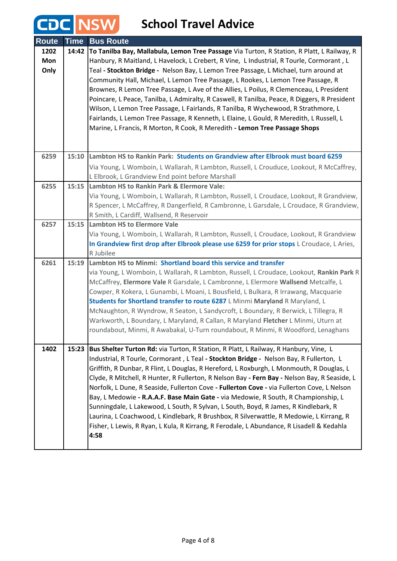### **School Travel Advice**

**CDC NSW** 

| <b>Route</b> | <b>Time</b> | <b>Bus Route</b>                                                                             |
|--------------|-------------|----------------------------------------------------------------------------------------------|
| 1202         | 14:42       | To Tanilba Bay, Mallabula, Lemon Tree Passage Via Turton, R Station, R Platt, L Railway, R   |
| Mon          |             | Hanbury, R Maitland, L Havelock, L Crebert, R Vine, L Industrial, R Tourle, Cormorant, L     |
| Only         |             | Teal - Stockton Bridge - Nelson Bay, L Lemon Tree Passage, L Michael, turn around at         |
|              |             | Community Hall, Michael, L Lemon Tree Passage, L Rookes, L Lemon Tree Passage, R             |
|              |             | Brownes, R Lemon Tree Passage, L Ave of the Allies, L Poilus, R Clemenceau, L President      |
|              |             | Poincare, L Peace, Tanilba, L Admiralty, R Caswell, R Tanilba, Peace, R Diggers, R President |
|              |             | Wilson, L Lemon Tree Passage, L Fairlands, R Tanilba, R Wychewood, R Strathmore, L           |
|              |             | Fairlands, L Lemon Tree Passage, R Kenneth, L Elaine, L Gould, R Meredith, L Russell, L      |
|              |             | Marine, L Francis, R Morton, R Cook, R Meredith - Lemon Tree Passage Shops                   |
|              |             |                                                                                              |
|              |             |                                                                                              |
| 6259         |             | 15:10 Lambton HS to Rankin Park: Students on Grandview after Elbrook must board 6259         |
|              |             | Via Young, L Womboin, L Wallarah, R Lambton, Russell, L Crouduce, Lookout, R McCaffrey,      |
|              |             | L Elbrook, L Grandview End point before Marshall                                             |
| 6255         | 15:15       | Lambton HS to Rankin Park & Elermore Vale:                                                   |
|              |             | Via Young, L Womboin, L Wallarah, R Lambton, Russell, L Croudace, Lookout, R Grandview,      |
|              |             | R Spencer, L McCaffrey, R Dangerfield, R Cambronne, L Garsdale, L Croudace, R Grandview,     |
|              |             | R Smith, L Cardiff, Wallsend, R Reservoir                                                    |
| 6257         |             | 15:15 Lambton HS to Elermore Vale                                                            |
|              |             | Via Young, L Womboin, L Wallarah, R Lambton, Russell, L Croudace, Lookout, R Grandview       |
|              |             | In Grandview first drop after Elbrook please use 6259 for prior stops L Croudace, L Aries,   |
|              |             | R Jubilee                                                                                    |
| 6261         | 15:19       | Lambton HS to Minmi: Shortland board this service and transfer                               |
|              |             | via Young, L Womboin, L Wallarah, R Lambton, Russell, L Croudace, Lookout, Rankin Park R     |
|              |             | McCaffrey, Elermore Vale R Garsdale, L Cambronne, L Elermore Wallsend Metcalfe, L            |
|              |             | Cowper, R Kokera, L Gunambi, L Moani, L Bousfield, L Bulkara, R Irrawang, Macquarie          |
|              |             | Students for Shortland transfer to route 6287 L Minmi Maryland R Maryland, L                 |
|              |             | McNaughton, R Wyndrow, R Seaton, L Sandycroft, L Boundary, R Berwick, L Tillegra, R          |
|              |             | Warkworth, L Boundary, L Maryland, R Callan, R Maryland Fletcher L Minmi, Uturn at           |
|              |             | roundabout, Minmi, R Awabakal, U-Turn roundabout, R Minmi, R Woodford, Lenaghans             |
|              |             |                                                                                              |
| 1402         | 15:23       | Bus Shelter Turton Rd: via Turton, R Station, R Platt, L Railway, R Hanbury, Vine, L         |
|              |             | Industrial, R Tourle, Cormorant, L Teal - Stockton Bridge - Nelson Bay, R Fullerton, L       |
|              |             | Griffith, R Dunbar, R Flint, L Douglas, R Hereford, L Roxburgh, L Monmouth, R Douglas, L     |
|              |             | Clyde, R Mitchell, R Hunter, R Fullerton, R Nelson Bay - Fern Bay - Nelson Bay, R Seaside, L |
|              |             | Norfolk, L Dune, R Seaside, Fullerton Cove - Fullerton Cove - via Fullerton Cove, L Nelson   |
|              |             |                                                                                              |
|              |             | Bay, L Medowie - R.A.A.F. Base Main Gate - via Medowie, R South, R Championship, L           |
|              |             | Sunningdale, L Lakewood, L South, R Sylvan, L South, Boyd, R James, R Kindlebark, R          |
|              |             | Laurina, L Coachwood, L Kindlebark, R Brushbox, R Silverwattle, R Medowie, L Kirrang, R      |
|              |             | Fisher, L Lewis, R Ryan, L Kula, R Kirrang, R Ferodale, L Abundance, R Lisadell & Kedahla    |
|              |             | 4:58                                                                                         |
|              |             |                                                                                              |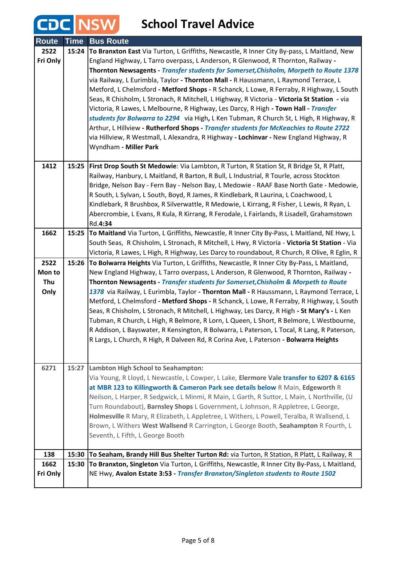| <b>Route</b> | <b>Time</b> | <b>Bus Route</b>                                                                                                                                                                   |
|--------------|-------------|------------------------------------------------------------------------------------------------------------------------------------------------------------------------------------|
| 2522         | 15:24       | To Branxton East Via Turton, L Griffiths, Newcastle, R Inner City By-pass, L Maitland, New                                                                                         |
| Fri Only     |             | England Highway, L Tarro overpass, L Anderson, R Glenwood, R Thornton, Railway -                                                                                                   |
|              |             | Thornton Newsagents - Transfer students for Somerset, Chisholm, Morpeth to Route 1378                                                                                              |
|              |             | via Railway, L Eurimbla, Taylor - <b>Thornton Mall</b> - R Haussmann, L Raymond Terrace, L                                                                                         |
|              |             | Metford, L Chelmsford - Metford Shops - R Schanck, L Lowe, R Ferraby, R Highway, L South                                                                                           |
|              |             | Seas, R Chisholm, L Stronach, R Mitchell, L Highway, R Victoria - Victoria St Station - via                                                                                        |
|              |             | Victoria, R Lawes, L Melbourne, R Highway, Les Darcy, R High - Town Hall - Transfer                                                                                                |
|              |             | students for Bolwarra to 2294 via High, L Ken Tubman, R Church St, L High, R Highway, R                                                                                            |
|              |             | Arthur, L Hillview - Rutherford Shops - Transfer students for McKeachies to Route 2722                                                                                             |
|              |             | via Hillview, R Westmall, L Alexandra, R Highway - Lochinvar - New England Highway, R                                                                                              |
|              |             | Wyndham - Miller Park                                                                                                                                                              |
| 1412         |             |                                                                                                                                                                                    |
|              |             | 15:25   First Drop South St Medowie: Via Lambton, R Turton, R Station St, R Bridge St, R Platt,                                                                                    |
|              |             | Railway, Hanbury, L Maitland, R Barton, R Bull, L Industrial, R Tourle, across Stockton<br>Bridge, Nelson Bay - Fern Bay - Nelson Bay, L Medowie - RAAF Base North Gate - Medowie, |
|              |             | R South, L Sylvan, L South, Boyd, R James, R Kindlebark, R Laurina, L Coachwood, L                                                                                                 |
|              |             | Kindlebark, R Brushbox, R Silverwattle, R Medowie, L Kirrang, R Fisher, L Lewis, R Ryan, L                                                                                         |
|              |             | Abercrombie, L Evans, R Kula, R Kirrang, R Ferodale, L Fairlands, R Lisadell, Grahamstown                                                                                          |
|              |             | Rd.4:34                                                                                                                                                                            |
| 1662         | 15:25       | To Maitland Via Turton, L Griffiths, Newcastle, R Inner City By-Pass, L Maitland, NE Hwy, L                                                                                        |
|              |             | South Seas, R Chisholm, L Stronach, R Mitchell, L Hwy, R Victoria - Victoria St Station - Via                                                                                      |
|              |             | Victoria, R Lawes, L High, R Highway, Les Darcy to roundabout, R Church, R Olive, R Eglin, R                                                                                       |
| 2522         | 15:26       | To Bolwarra Heights Via Turton, L Griffiths, Newcastle, R Inner City By-Pass, L Maitland,                                                                                          |
| Mon to       |             | New England Highway, L Tarro overpass, L Anderson, R Glenwood, R Thornton, Railway -                                                                                               |
| Thu          |             | Thornton Newsagents - Transfer students for Somerset, Chisholm & Morpeth to Route                                                                                                  |
| Only         |             | 1378 via Railway, L Eurimbla, Taylor - Thornton Mall - R Haussmann, L Raymond Terrace, L                                                                                           |
|              |             | Metford, L Chelmsford - Metford Shops - R Schanck, L Lowe, R Ferraby, R Highway, L South                                                                                           |
|              |             | Seas, R Chisholm, L Stronach, R Mitchell, L Highway, Les Darcy, R High - St Mary's - L Ken                                                                                         |
|              |             | Tubman, R Church, L High, R Belmore, R Lorn, L Queen, L Short, R Belmore, L Westbourne,                                                                                            |
|              |             | R Addison, L Bayswater, R Kensington, R Bolwarra, L Paterson, L Tocal, R Lang, R Paterson,                                                                                         |
|              |             | R Largs, L Church, R High, R Dalveen Rd, R Corina Ave, L Paterson - Bolwarra Heights                                                                                               |
|              |             |                                                                                                                                                                                    |
| 6271         |             |                                                                                                                                                                                    |
|              | 15:27       | Lambton High School to Seahampton:<br>Via Young, R Lloyd, L Newcastle, L Cowper, L Lake, Elermore Vale transfer to 6207 & 6165                                                     |
|              |             | at MBR 123 to Killingworth & Cameron Park see details below R Main, Edgeworth R                                                                                                    |
|              |             | Neilson, L Harper, R Sedgwick, L Minmi, R Main, L Garth, R Suttor, L Main, L Northville, (U                                                                                        |
|              |             | Turn Roundabout), Barnsley Shops L Government, L Johnson, R Appletree, L George,                                                                                                   |
|              |             | Holmesville R Mary, R Elizabeth, L Appletree, L Withers, L Powell, Teralba, R Wallsend, L                                                                                          |
|              |             | Brown, L Withers West Wallsend R Carrington, L George Booth, Seahampton R Fourth, L                                                                                                |
|              |             | Seventh, L Fifth, L George Booth                                                                                                                                                   |
|              |             |                                                                                                                                                                                    |
| 138          | 15:30       | To Seaham, Brandy Hill Bus Shelter Turton Rd: via Turton, R Station, R Platt, L Railway, R                                                                                         |
| 1662         | 15:30       | To Branxton, Singleton Via Turton, L Griffiths, Newcastle, R Inner City By-Pass, L Maitland,                                                                                       |
| Fri Only     |             | NE Hwy, Avalon Estate 3:53 - Transfer Branxton/Singleton students to Route 1502                                                                                                    |
|              |             |                                                                                                                                                                                    |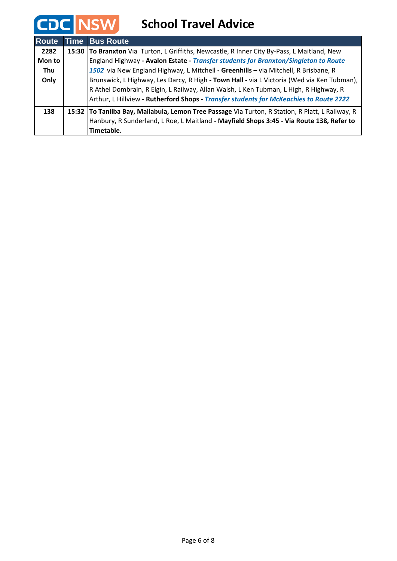| <b>Route</b> | Time Bus Route                                                                                   |
|--------------|--------------------------------------------------------------------------------------------------|
| 2282         | 15:30 To Branxton Via Turton, L Griffiths, Newcastle, R Inner City By-Pass, L Maitland, New      |
| Mon to       | England Highway - Avalon Estate - Transfer students for Branxton/Singleton to Route              |
| Thu          | 1502 via New England Highway, L Mitchell - Greenhills - via Mitchell, R Brisbane, R              |
| Only         | Brunswick, L Highway, Les Darcy, R High - Town Hall - via L Victoria (Wed via Ken Tubman),       |
|              | R Athel Dombrain, R Elgin, L Railway, Allan Walsh, L Ken Tubman, L High, R Highway, R            |
|              | Arthur, L Hillview - Rutherford Shops - Transfer students for McKeachies to Route 2722           |
| 138          | 15:32 To Tanilba Bay, Mallabula, Lemon Tree Passage Via Turton, R Station, R Platt, L Railway, R |
|              | Hanbury, R Sunderland, L Roe, L Maitland - Mayfield Shops 3:45 - Via Route 138, Refer to         |
|              | Timetable.                                                                                       |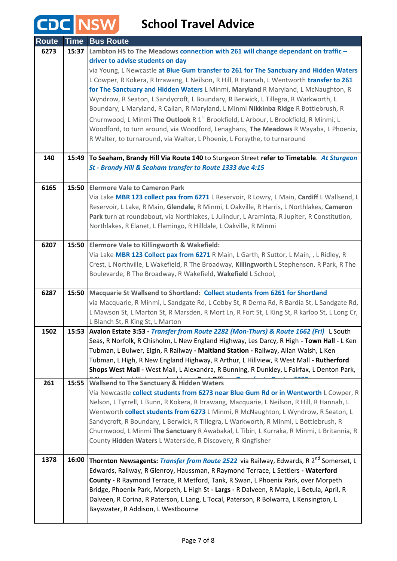| <b>Route</b> | <b>Time</b> | <b>Bus Route</b>                                                                                                                                                                            |
|--------------|-------------|---------------------------------------------------------------------------------------------------------------------------------------------------------------------------------------------|
| 6273         | 15:37       | Lambton HS to The Meadows connection with 261 will change dependant on traffic -                                                                                                            |
|              |             | driver to advise students on day                                                                                                                                                            |
|              |             | via Young, L Newcastle at Blue Gum transfer to 261 for The Sanctuary and Hidden Waters                                                                                                      |
|              |             | L Cowper, R Kokera, R Irrawang, L Neilson, R Hill, R Hannah, L Wentworth transfer to 261                                                                                                    |
|              |             | for The Sanctuary and Hidden Waters L Minmi, Maryland R Maryland, L McNaughton, R                                                                                                           |
|              |             | Wyndrow, R Seaton, L Sandycroft, L Boundary, R Berwick, L Tillegra, R Warkworth, L                                                                                                          |
|              |             | Boundary, L Maryland, R Callan, R Maryland, L Minmi Nikkinba Ridge R Bottlebrush, R                                                                                                         |
|              |             | Churnwood, L Minmi <b>The Outlook</b> R 1 <sup>st</sup> Brookfield, L Arbour, L Brookfield, R Minmi, L                                                                                      |
|              |             | Woodford, to turn around, via Woodford, Lenaghans, The Meadows R Wayaba, L Phoenix,                                                                                                         |
|              |             | R Walter, to turnaround, via Walter, L Phoenix, L Forsythe, to turnaround                                                                                                                   |
| 140          |             | 15:49 To Seaham, Brandy Hill Via Route 140 to Sturgeon Street refer to Timetable. At Sturgeon                                                                                               |
|              |             | St - Brandy Hill & Seaham transfer to Route 1333 due 4:15                                                                                                                                   |
|              |             |                                                                                                                                                                                             |
| 6165         | 15:50       | <b>Elermore Vale to Cameron Park</b>                                                                                                                                                        |
|              |             | Via Lake MBR 123 collect pax from 6271 L Reservoir, R Lowry, L Main, Cardiff L Wallsend, L                                                                                                  |
|              |             | Reservoir, L Lake, R Main, Glendale, R Minmi, L Oakville, R Harris, L Northlakes, Cameron                                                                                                   |
|              |             | Park turn at roundabout, via Northlakes, L Julindur, L Araminta, R Jupiter, R Constitution,                                                                                                 |
|              |             | Northlakes, R Elanet, L Flamingo, R Hilldale, L Oakville, R Minmi                                                                                                                           |
| 6207         |             | 15:50 Elermore Vale to Killingworth & Wakefield:                                                                                                                                            |
|              |             | Via Lake MBR 123 Collect pax from 6271 R Main, L Garth, R Suttor, L Main, , L Ridley, R                                                                                                     |
|              |             | Crest, L Northville, L Wakefield, R The Broadway, Killingworth L Stephenson, R Park, R The                                                                                                  |
|              |             | Boulevarde, R The Broadway, R Wakefield, Wakefield L School,                                                                                                                                |
|              |             |                                                                                                                                                                                             |
| 6287         |             | 15:50   Macquarie St Wallsend to Shortland: Collect students from 6261 for Shortland                                                                                                        |
|              |             | via Macquarie, R Minmi, L Sandgate Rd, L Cobby St, R Derna Rd, R Bardia St, L Sandgate Rd,<br>L Mawson St, L Marton St, R Marsden, R Mort Ln, R Fort St, L King St, R karloo St, L Long Cr, |
|              |             | L Blanch St, R King St, L Marton                                                                                                                                                            |
| 1502         |             | 15:53 Avalon Estate 3:53 - Transfer from Route 2282 (Mon-Thurs) & Route 1662 (Fri) L South                                                                                                  |
|              |             | Seas, R Norfolk, R Chisholm, L New England Highway, Les Darcy, R High - Town Hall - L Ken                                                                                                   |
|              |             | Tubman, L Bulwer, Elgin, R Railway - Maitland Station - Railway, Allan Walsh, L Ken                                                                                                         |
|              |             | Tubman, L High, R New England Highway, R Arthur, L Hillview, R West Mall - Rutherford                                                                                                       |
|              |             | Shops West Mall - West Mall, L Alexandra, R Bunning, R Dunkley, L Fairfax, L Denton Park,                                                                                                   |
| 261          | 15:55       | <b>Wallsend to The Sanctuary &amp; Hidden Waters</b>                                                                                                                                        |
|              |             | Via Newcastle collect students from 6273 near Blue Gum Rd or in Wentworth L Cowper, R                                                                                                       |
|              |             | Nelson, L Tyrrell, L Bunn, R Kokera, R Irrawang, Macquarie, L Neilson, R Hill, R Hannah, L                                                                                                  |
|              |             | Wentworth collect students from 6273 L Minmi, R McNaughton, L Wyndrow, R Seaton, L                                                                                                          |
|              |             | Sandycroft, R Boundary, L Berwick, R Tillegra, L Warkworth, R Minmi, L Bottlebrush, R                                                                                                       |
|              |             | Churnwood, L Minmi The Sanctuary R Awabakal, L Tibin, L Kurraka, R Minmi, L Britannia, R<br>County Hidden Waters L Waterside, R Discovery, R Kingfisher                                     |
|              |             |                                                                                                                                                                                             |
| 1378         | 16:00       | <b>Thornton Newsagents: Transfer from Route 2522</b> via Railway, Edwards, R 2 <sup>nd</sup> Somerset, L                                                                                    |
|              |             | Edwards, Railway, R Glenroy, Haussman, R Raymond Terrace, L Settlers - Waterford                                                                                                            |
|              |             | County - R Raymond Terrace, R Metford, Tank, R Swan, L Phoenix Park, over Morpeth                                                                                                           |
|              |             | Bridge, Phoenix Park, Morpeth, L High St - Largs - R Dalveen, R Maple, L Betula, April, R                                                                                                   |
|              |             | Dalveen, R Corina, R Paterson, L Lang, L Tocal, Paterson, R Bolwarra, L Kensington, L                                                                                                       |
|              |             | Bayswater, R Addison, L Westbourne                                                                                                                                                          |
|              |             |                                                                                                                                                                                             |